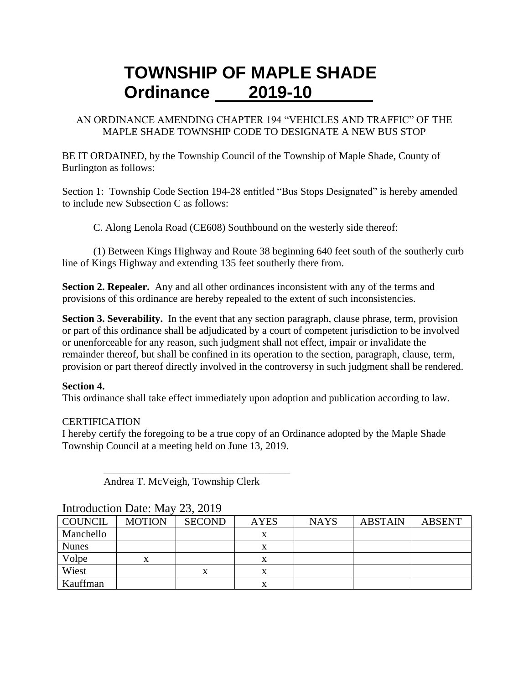# **TOWNSHIP OF MAPLE SHADE Ordinance 2019-10**

#### AN ORDINANCE AMENDING CHAPTER 194 "VEHICLES AND TRAFFIC" OF THE MAPLE SHADE TOWNSHIP CODE TO DESIGNATE A NEW BUS STOP

BE IT ORDAINED, by the Township Council of the Township of Maple Shade, County of Burlington as follows:

Section 1: Township Code Section 194-28 entitled "Bus Stops Designated" is hereby amended to include new Subsection C as follows:

C. Along Lenola Road (CE608) Southbound on the westerly side thereof:

(1) Between Kings Highway and Route 38 beginning 640 feet south of the southerly curb line of Kings Highway and extending 135 feet southerly there from.

**Section 2. Repealer.** Any and all other ordinances inconsistent with any of the terms and provisions of this ordinance are hereby repealed to the extent of such inconsistencies.

**Section 3. Severability.** In the event that any section paragraph, clause phrase, term, provision or part of this ordinance shall be adjudicated by a court of competent jurisdiction to be involved or unenforceable for any reason, such judgment shall not effect, impair or invalidate the remainder thereof, but shall be confined in its operation to the section, paragraph, clause, term, provision or part thereof directly involved in the controversy in such judgment shall be rendered.

### **Section 4.**

This ordinance shall take effect immediately upon adoption and publication according to law.

### **CERTIFICATION**

I hereby certify the foregoing to be a true copy of an Ordinance adopted by the Maple Shade Township Council at a meeting held on June 13, 2019.

Andrea T. McVeigh, Township Clerk

 $\overline{\phantom{a}}$  , which is the set of the set of the set of the set of the set of the set of the set of the set of the set of the set of the set of the set of the set of the set of the set of the set of the set of the set of

| <b>COUNCIL</b> | <b>MOTION</b> | <b>SECOND</b> | <b>AYES</b> | <b>NAYS</b> | <b>ABSTAIN</b> | <b>ABSENT</b> |  |  |  |  |
|----------------|---------------|---------------|-------------|-------------|----------------|---------------|--|--|--|--|
| Manchello      |               |               |             |             |                |               |  |  |  |  |
| <b>Nunes</b>   |               |               |             |             |                |               |  |  |  |  |
| Volpe          | x             |               |             |             |                |               |  |  |  |  |
| Wiest          |               | х             |             |             |                |               |  |  |  |  |
| Kauffman       |               |               |             |             |                |               |  |  |  |  |

### Introduction Date: May 23, 2019